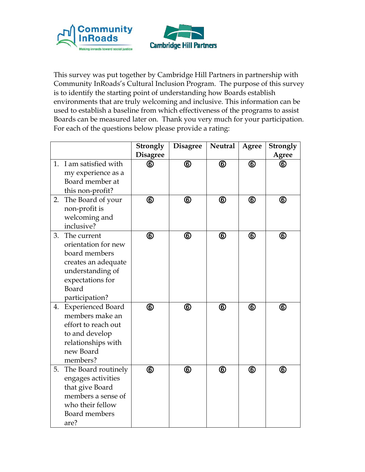



This survey was put together by Cambridge Hill Partners in partnership with Community InRoads's Cultural Inclusion Program. The purpose of this survey is to identify the starting point of understanding how Boards establish environments that are truly welcoming and inclusive. This information can be used to establish a baseline from which effectiveness of the programs to assist Boards can be measured later on. Thank you very much for your participation. For each of the questions below please provide a rating:

|    |                                                                                                                                               | Strongly        | <b>Disagree</b> | <b>Neutral</b> | <b>Agree</b>   | Strongly       |
|----|-----------------------------------------------------------------------------------------------------------------------------------------------|-----------------|-----------------|----------------|----------------|----------------|
|    |                                                                                                                                               | <b>Disagree</b> |                 |                |                | Agree          |
| 1. | I am satisfied with<br>my experience as a<br>Board member at<br>this non-profit?                                                              | ⑯               | $^{\circledR}$  | $^{\circledR}$ | $^\circledR$   | ❻              |
| 2. | The Board of your<br>non-profit is<br>welcoming and<br>inclusive?                                                                             | $^\circledR$    | $^\circledR$    | $^{\circledR}$ | $^{\circledR}$ | $^\circledR$   |
| 3. | The current<br>orientation for new<br>board members<br>creates an adequate<br>understanding of<br>expectations for<br>Board<br>participation? | $^{\circledR}$  | $^\circledR$    | $^{\circledR}$ | $^{\circledR}$ | $^\circledR$   |
| 4. | <b>Experienced Board</b><br>members make an<br>effort to reach out<br>to and develop<br>relationships with<br>new Board<br>members?           | $^{\circledR}$  | $^{\circledR}$  | $^{\circledR}$ | $^{\circledR}$ | $^{\circledR}$ |
| 5. | The Board routinely<br>engages activities<br>that give Board<br>members a sense of<br>who their fellow<br>Board members<br>are?               | $^{\circledR}$  | $^{\circledR}$  | $^{\circledR}$ | $^{\circledR}$ | $^\circledR$   |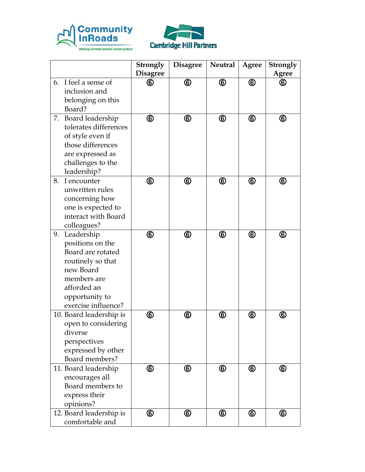



|    |                                            | Strongly<br><b>Disagree</b> | <b>Disagree</b> | <b>Neutral</b> | <b>Agree</b>   | Strongly<br><b>Agree</b> |
|----|--------------------------------------------|-----------------------------|-----------------|----------------|----------------|--------------------------|
| 6. | I feel a sense of                          | ⑥                           | $^\circledR$    | $^\circledR$   | $^{\circledR}$ | ❻                        |
|    | inclusion and                              |                             |                 |                |                |                          |
|    | belonging on this                          |                             |                 |                |                |                          |
|    | Board?                                     |                             |                 |                |                |                          |
| 7. | Board leadership                           | ⑥                           | $^\circledR$    | $^\circledR$   | $^{\circledR}$ | $^\circledR$             |
|    | tolerates differences                      |                             |                 |                |                |                          |
|    | of style even if                           |                             |                 |                |                |                          |
|    | those differences                          |                             |                 |                |                |                          |
|    | are expressed as                           |                             |                 |                |                |                          |
|    | challenges to the                          |                             |                 |                |                |                          |
|    | leadership?                                |                             |                 |                |                |                          |
| 8. | I encounter<br>unwritten rules             | ⑥                           | $^{\circledR}$  | $^\circledR$   | $^{\circledR}$ | $^\circledR$             |
|    |                                            |                             |                 |                |                |                          |
|    | concerning how<br>one is expected to       |                             |                 |                |                |                          |
|    | interact with Board                        |                             |                 |                |                |                          |
|    | colleagues?                                |                             |                 |                |                |                          |
| 9. | Leadership                                 | ⑥                           | $^\circledR$    | $^\circledR$   | $^{\circledR}$ | $^\circledR$             |
|    | positions on the                           |                             |                 |                |                |                          |
|    | Board are rotated                          |                             |                 |                |                |                          |
|    | routinely so that                          |                             |                 |                |                |                          |
|    | new Board                                  |                             |                 |                |                |                          |
|    | members are                                |                             |                 |                |                |                          |
|    | afforded an                                |                             |                 |                |                |                          |
|    | opportunity to                             |                             |                 |                |                |                          |
|    | exercise influence?                        |                             |                 |                |                |                          |
|    | 10. Board leadership is                    | ⑥                           | $^\circledR$    | $^\copyright$  | $^\copyright$  | $\circledast$            |
|    | open to considering                        |                             |                 |                |                |                          |
|    | diverse                                    |                             |                 |                |                |                          |
|    | perspectives                               |                             |                 |                |                |                          |
|    | expressed by other                         |                             |                 |                |                |                          |
|    | Board members?                             |                             |                 |                |                |                          |
|    | 11. Board leadership                       | $^\circledR$                | $^\circledR$    | $^\circledR$   | $^\circledR$   | $^\circledR$             |
|    | encourages all                             |                             |                 |                |                |                          |
|    | Board members to                           |                             |                 |                |                |                          |
|    | express their                              |                             |                 |                |                |                          |
|    | opinions?                                  |                             |                 |                |                |                          |
|    | 12. Board leadership is<br>comfortable and | ⑥                           | $^{\circledR}$  | $^\circledR$   | $^{\circledR}$ | $^\circledR$             |
|    |                                            |                             |                 |                |                |                          |